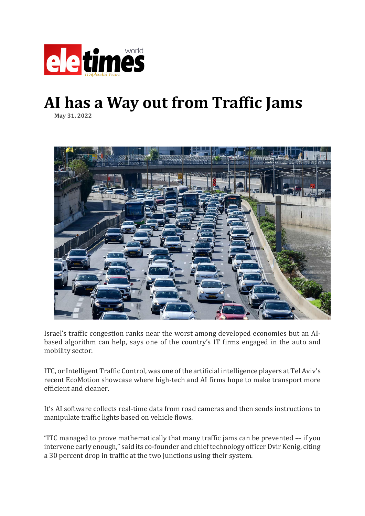

## **AI has a Way out from Traffic Jams**

**May 31, 2022**



Israel's traffic congestion ranks near the worst among developed economies but an AIbased algorithm can help, says one of the country's IT firms engaged in the auto and mobility sector.

ITC, or Intelligent Traffic Control, was one of the artificial intelligence players at Tel Aviv's recent EcoMotion showcase where high-tech and AI firms hope to make transport more efficient and cleaner.

It's AI software collects real-time data from road cameras and then sends instructions to manipulate traffic lights based on vehicle flows.

"ITC managed to prove mathematically that many traffic jams can be prevented –- if you intervene early enough," said its co-founder and chief technology officer Dvir Kenig, citing a 30 percent drop in traffic at the two junctions using their system.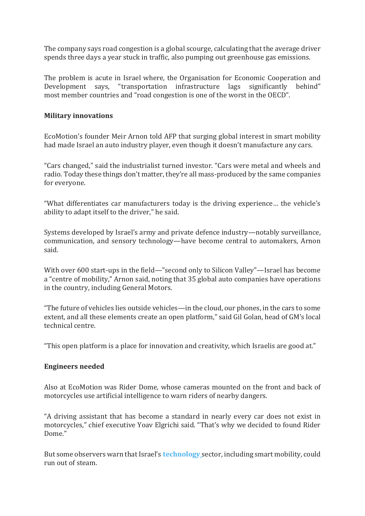The company says road congestion is a global scourge, calculating that the average driver spends three days a year stuck in traffic, also pumping out greenhouse gas emissions.

The problem is acute in Israel where, the Organisation for Economic Cooperation and Development says, "transportation infrastructure lags significantly behind" most member countries and "road congestion is one of the worst in the OECD".

## **Military innovations**

EcoMotion's founder Meir Arnon told AFP that surging global interest in smart mobility had made Israel an auto industry player, even though it doesn't manufacture any cars.

"Cars changed," said the industrialist turned investor. "Cars were metal and wheels and radio. Today these things don't matter, they're all mass-produced by the same companies for everyone.

"What differentiates car manufacturers today is the driving experience… the vehicle's ability to adapt itself to the driver," he said.

Systems developed by Israel's army and private defence industry—notably surveillance, communication, and sensory technology—have become central to automakers, Arnon said.

With over 600 start-ups in the field—"second only to Silicon Valley"—Israel has become a "centre of mobility," Arnon said, noting that 35 global auto companies have operations in the country, including General Motors.

"The future of vehicles lies outside vehicles—in the cloud, our phones, in the cars to some extent, and all these elements create an open platform," said Gil Golan, head of GM's local technical centre.

"This open platform is a place for innovation and creativity, which Israelis are good at."

## **Engineers needed**

Also at EcoMotion was Rider Dome, whose cameras mounted on the front and back of motorcycles use artificial intelligence to warn riders of nearby dangers.

"A driving assistant that has become a standard in nearly every car does not exist in motorcycles," chief executive Yoav Elgrichi said. "That's why we decided to found Rider Dome"

But some observers warn that Israel's **[technology](https://www.eletimes.com/aluminium-praphene-battery-for-gadgets-and-ev-technology)** sector, including smart mobility, could run out of steam.